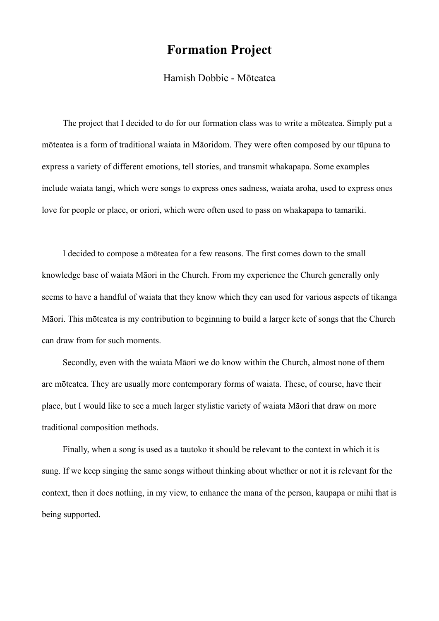## **Formation Project**

## Hamish Dobbie - Mōteatea

The project that I decided to do for our formation class was to write a mōteatea. Simply put a mōteatea is a form of traditional waiata in Māoridom. They were often composed by our tūpuna to express a variety of different emotions, tell stories, and transmit whakapapa. Some examples include waiata tangi, which were songs to express ones sadness, waiata aroha, used to express ones love for people or place, or oriori, which were often used to pass on whakapapa to tamariki.

I decided to compose a mōteatea for a few reasons. The first comes down to the small knowledge base of waiata Māori in the Church. From my experience the Church generally only seems to have a handful of waiata that they know which they can used for various aspects of tikanga Māori. This mōteatea is my contribution to beginning to build a larger kete of songs that the Church can draw from for such moments.

Secondly, even with the waiata Māori we do know within the Church, almost none of them are mōteatea. They are usually more contemporary forms of waiata. These, of course, have their place, but I would like to see a much larger stylistic variety of waiata Māori that draw on more traditional composition methods.

Finally, when a song is used as a tautoko it should be relevant to the context in which it is sung. If we keep singing the same songs without thinking about whether or not it is relevant for the context, then it does nothing, in my view, to enhance the mana of the person, kaupapa or mihi that is being supported.